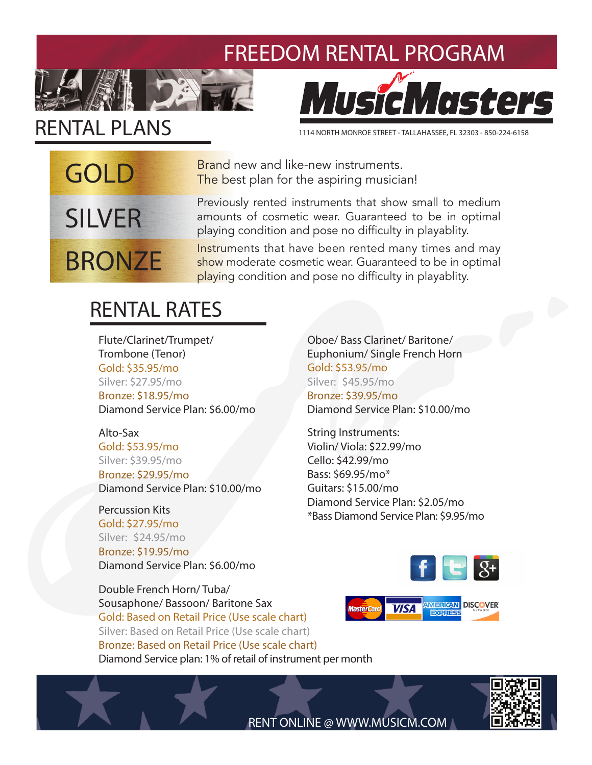#### FREEDOM RENTAL PROGRAM



## RENTAL PLANS

GOLD

SILVER

**BRONZE** 

# MusicMasters

1114 NORTH MONROE STREET - TALLAHASSEE, FL 32303 - 850-224-6158

Brand new and like-new instruments. The best plan for the aspiring musician!

Previously rented instruments that show small to medium amounts of cosmetic wear. Guaranteed to be in optimal playing condition and pose no difficulty in playablity.

Instruments that have been rented many times and may show moderate cosmetic wear. Guaranteed to be in optimal playing condition and pose no difficulty in playablity.

### RENTAL RATES

Flute/Clarinet/Trumpet/ Trombone (Tenor) Gold: \$35.95/mo Silver: \$27.95/mo Bronze: \$18.95/mo Diamond Service Plan: \$6.00/mo

Alto-Sax Gold: \$53.95/mo Silver: \$39.95/mo Bronze: \$29.95/mo Diamond Service Plan: \$10.00/mo

Percussion Kits Gold: \$27.95/mo Silver: \$24.95/mo Bronze: \$19.95/mo Diamond Service Plan: \$6.00/mo

Double French Horn/ Tuba/ Sousaphone/ Bassoon/ Baritone Sax Gold: Based on Retail Price (Use scale chart) Silver: Based on Retail Price (Use scale chart) Bronze: Based on Retail Price (Use scale chart) Diamond Service plan: 1% of retail of instrument per month

Oboe/ Bass Clarinet/ Baritone/ Euphonium/ Single French Horn Gold: \$53.95/mo Silver: \$45.95/mo Bronze: \$39.95/mo Diamond Service Plan: \$10.00/mo

String Instruments: Violin/ Viola: \$22.99/mo Cello: \$42.99/mo Bass: \$69.95/mo\* Guitars: \$15.00/mo Diamond Service Plan: \$2.05/mo \*Bass Diamond Service Plan: \$9.95/mo